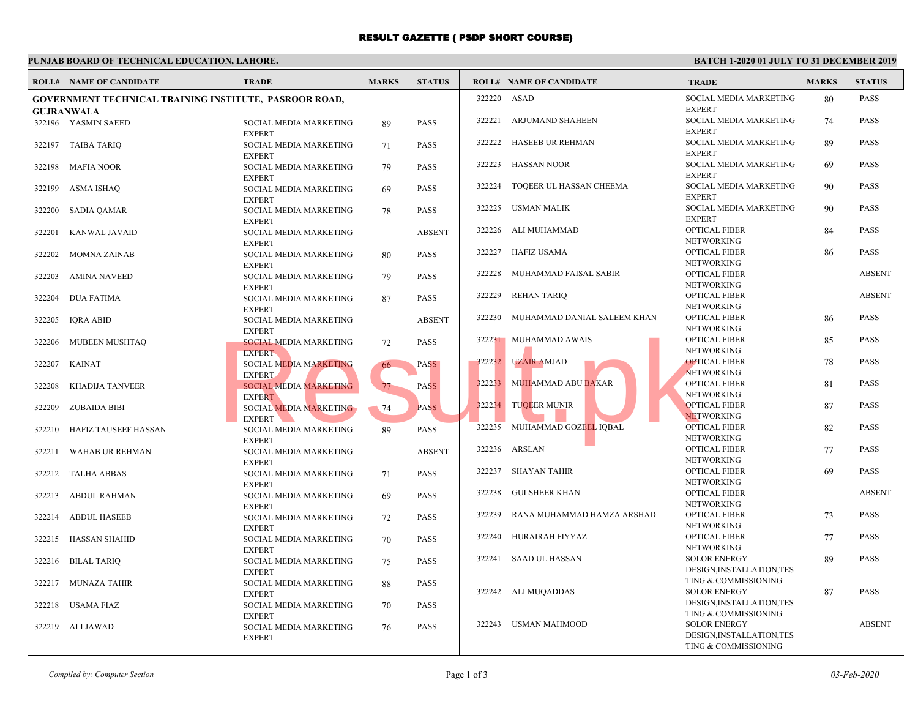## RESULT GAZETTE ( PSDP SHORT COURSE)

#### **PUNJAB BOARD OF TECHNICAL EDUCATION, LAHORE. BA ROLL# NAME OF CANDIDATE TRADE MARKS STATUS ROLL# NAME OF CANDIDATE TRADE MARKS STATUS GOVERNMENT TECHNICAL TRAINING INSTITUTE, PASROOR ROAD, GUJRANWALA** SOCIAL MEDIA MARKETING 89 PASS EXPERT 322196 YASMIN SAEED SOCIAL MEDIA MARKETING 71 PASS EXPERT 322197 TAIBA TARIQ SOCIAL MEDIA MARKETING 79 PASS EXPERT 322198 MAFIA NOOR SOCIAL MEDIA MARKETING 69 PASS EXPERT 322199 ASMA ISHAQ SOCIAL MEDIA MARKETING 78 PASS EXPERT 322200 SADIA QAMAR SOCIAL MEDIA MARKETING ABSENT EXPERT 322201 KANWAL JAVAID SOCIAL MEDIA MARKETING 80 PASS EXPERT 322202 MOMNA ZAINAB SOCIAL MEDIA MARKETING 79 PASS EXPERT 322203 AMINA NAVEED SOCIAL MEDIA MARKETING 87 PASS EXPERT 322204 DUA FATIMA SOCIAL MEDIA MARKETING ABSENT EXPERT 322205 IQRA ABID SOCIAL MEDIA MARKETING 72 PASS EXPERT 322206 MUBEEN MUSHTAQ SOCIAL MEDIA MARKETING 66 PASS EXPERT 322207 KAINAT SOCIAL MEDIA MARKETING 77 PASS EXPERT 322208 KHADIJA TANVEER SOCIAL MEDIA MARKETING 74 PASS EXPERT 322209 ZUBAIDA BIBI SOCIAL MEDIA MARKETING 89 PASS EXPERT 322210 HAFIZ TAUSEEF HASSAN SOCIAL MEDIA MARKETING ABSENT EXPERT 322211 WAHAB UR REHMAN SOCIAL MEDIA MARKETING 71 PASS EXPERT 322212 TALHA ABBAS SOCIAL MEDIA MARKETING 69 PASS EXPERT 322213 ABDUL RAHMAN SOCIAL MEDIA MARKETING 72 PASS EXPERT 322214 ABDUL HASEEB SOCIAL MEDIA MARKETING 70 PASS EXPERT 322215 HASSAN SHAHID SOCIAL MEDIA MARKETING 75 PASS EXPERT 322216 BILAL TARIQ SOCIAL MEDIA MARKETING 88 PASS EXPERT 322217 MUNAZA TAHIR SOCIAL MEDIA MARKETING 70 PASS EXPERT 322218 USAMA FIAZ SOCIAL MEDIA MARKETING 76 PASS EXPERT 322219 ALI JAWAD SOCIA **EXPER**  322220 ASAD SOCIA **EXPER**  322221 ARJUMAND SHAHEEN SOCIA **EXPER**  322222 HASEEB UR REHMAN SOCIA **EXPER**  322223 HASSAN NOOR SOCIA **EXPER**  [322224 TOQEER UL HASSAN CHEEMA](http://www.result.pk/) SOCIA EXPER<br>OPTIC 322225 USMAN MALIK OPTIC **NETW**  322226 ALI MUHAMMAD OPTIC NETW 322227 HAFIZ USAMA OPTIC **NETW**  322228 MUHAMMAD FAISAL SABIR OPTIC **NETW**  322229 REHAN TARIQ OPTIC **NETW**  322230 MUHAMMAD DANIAL SALEEM KHAN OPTIC **NETW**  322231 MUHAMMAD AWAIS OPTIC NETW 322232 UZAIR AMJAD OPTIC **NETW**  322233 MUHAMMAD ABU BAKAR OPTIC **NETW**  322234 TUQEER MUNIR OPTIC **NETW**  322235 MUHAMMAD GOZEEL IQBAL OPTIC **NETW**  322236 ARSLAN OPTIC **NETW**  322237 SHAYAN TAHIR OPTIC **NETW**  322238 GULSHEER KHAN OPTIC **NETW**  322239 RANA MUHAMMAD HAMZA ARSHAD OPTIC **NETW**  322240 HURAIRAH FIYYAZ SOLOR DESIG TING  $\cdot$  322241 SAAD UL HASSAN SOLOR DESIG TING  $\cdot$  322242 ALI MUQADDAS SOLOR DESIG 322243 USMAN MAHMOOD EXPERT<br>
SOCIAL MEDIA MARKETING<br>
EXPERT<br>
SOCIAL MEDIA MARKETING<br>
EXPERT<br>
SOCIAL MEDIA MARKETING<br>
EXPERT<br>
SOCIAL MEDIA MARKETING<br>
EXPERT<br>
SOCIAL MEDIA MARKETING<br>
PASS<br>
PASS<br>
PASS<br>
PASS<br>
PASS<br>
PASS<br>
PASS<br>
PASS<br>
PASS<br>
PASS<br>
PA

 $TING$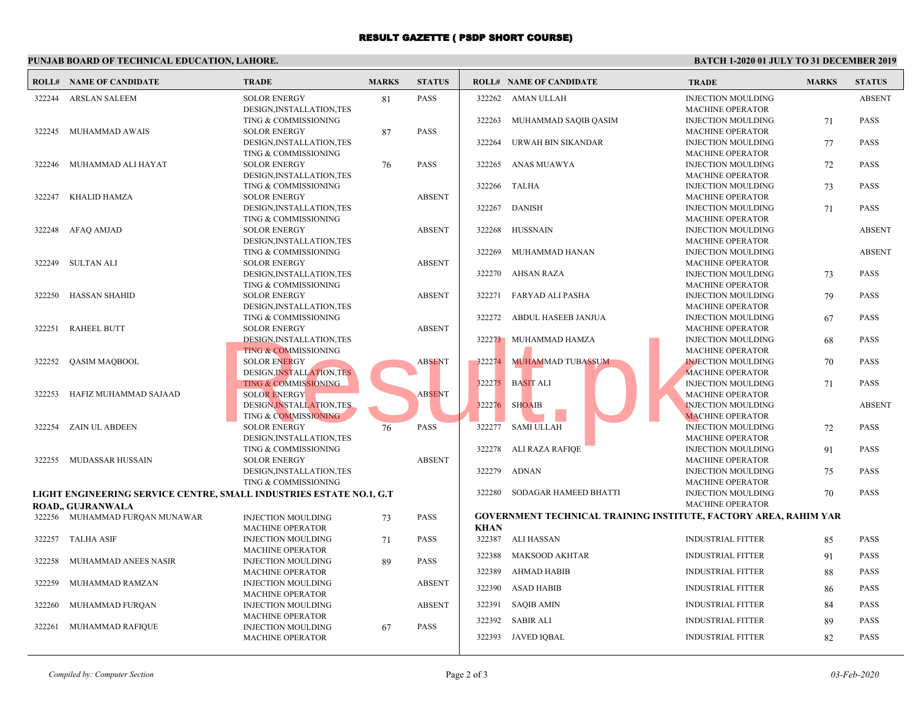## RESULT GAZETTE ( PSDP SHORT COURSE)

### **PUNJAB BOARD OF TECHNICAL EDUCATION, LAHORE. BA ROLL# NAME OF CANDIDATE TRADE MARKS STATUS ROLL# NAME OF CANDIDATE TRADE MARKS STATUS** SOLOR ENERGY 81 PASS DESIGN,INSTALLATION,TES TING & COMMISSIONING 322244 ARSLAN SALEEM SOLOR ENERGY 87 PASS DESIGN,INSTALLATION,TES TING & COMMISSIONING 322245 MUHAMMAD AWAIS SOLOR ENERGY 76 PASS DESIGN,INSTALLATION,TES TING & COMMISSIONING 322246 MUHAMMAD ALI HAYAT [SOLOR ENERGY ABSENT](http://www.result.pk/) DESIGN,INSTALLATION,TES TING & COMMISSIONING 322247 KHALID HAMZA SOLOR ENERGY ABSENT DESIGN,INSTALLATION,TES TING & COMMISSIONING 322248 AFAQ AMJAD SOLOR ENERGY ABSENT DESIGN,INSTALLATION,TES TING & COMMISSIONING 322249 SULTAN ALI SOLOR ENERGY ABSENT DESIGN,INSTALLATION,TES TING & COMMISSIONING 322250 HASSAN SHAHID SOLOR ENERGY ABSENT DESIGN,INSTALLATION,TES TING & COMMISSIONING 322251 RAHEEL BUTT SOLOR ENERGY ABSENT DESIGN,INSTALLATION,TES TING & COMMISSIONING 322252 QASIM MAQBOOL SOLOR ENERGY ABSENT DESIGN,INSTALLATION,TES TING & COMMISSIONING 322253 HAFIZ MUHAMMAD SAJAAD SOLOR ENERGY 76 PASS DESIGN,INSTALLATION,TES TING & COMMISSIONING 322254 ZAIN UL ABDEEN SOLOR ENERGY ABSENT DESIGN,INSTALLATION,TES TING & COMMISSIONING 322255 MUDASSAR HUSSAIN **LIGHT ENGINEERING SERVICE CENTRE, SMALL INDUSTRIES ESTATE NO.1, G.T ROAD,, GUJRANWALA** INJECTION MOULDING 73 PASS MACHINE OPERATOR 322256 MUHAMMAD FURQAN MUNAWAR INJECTION MOULDING  $71$  PASS MACHINE OPERATOR 322257 TALHA ASIF INJECTION MOULDING 89 PASS MACHINE OPERATOR 322258 MUHAMMAD ANEES NASIR INJECTION MOULDING ABSENT MACHINE OPERATOR 322259 MUHAMMAD RAMZAN INJECTION MOULDING ABSENT MACHINE OPERATOR 322260 MUHAMMAD FURQAN INJECTION MOULDING 67 PASS MACHINE OPERATOR 322261 MUHAMMAD RAFIQUE INJECT MACH 322262 AMAN ULLAH INJEC<sup>t</sup> **MACH**  322263 MUHAMMAD SAQIB QASIM INJEC<sup>T</sup> MACH 322264 URWAH BIN SIKANDAR INJEC<sup>t</sup> **MACH**  322265 ANAS MUAWYA INJEC<sup>t</sup> **MACH**  322266 TALHA INJEC<sup>t</sup> **MACH**  322267 DANISH INJEC<sup>t</sup> **MACH**  322268 HUSSNAIN INJEC<sup>t</sup> **MACH**  322269 MUHAMMAD HANAN INJEC<sup>t</sup> **MACH**  322270 AHSAN RAZA INJEC<sup>t</sup> MACH 322271 FARYAD ALI PASHA INJEC<sup>t</sup> MACH 322272 ABDUL HASEEB JANJUA INJEC<sup>t</sup> **MACH**  322273 MUHAMMAD HAMZA INJEC<sup>t</sup> MACH 322274 MUHAMMAD TUBASSUM INJEC<sup>t</sup> MACH 322275 BASIT ALI **INJECT** MACH 322276 SHOAIB INJEC<sup>t</sup> MACH 322277 SAMI ULLAH INJEC<sup>t</sup> **MACH**  322278 ALI RAZA RAFIQE INJEC<sup>t</sup> **MACH**  322279 ADNAN INJEC<sup>t</sup> MACH 322280 SODAGAR HAMEED BHATTI **GOVERNMENT TECHNICAL TRAINING INSTITUTE, I KHAN** 322387 ALI HASSAN INDUS 322388 MAKSOOD AKHTAR INDUS 322389 AHMAD HABIB INDUS 322390 ASAD HABIB INDUS 322391 SAQIB AMIN INDUS 322392 SABIR ALI INDUS 322393 JAVED IOBAL INDUS ESIGN, INSTALLATION, TES<br>
TING & COMMISSIONING<br>
SOLOR ENERGY<br>
TING & COMMISSIONING<br>
SOLOR ENERGY<br>
DESIGN, INSTALLATION, TES<br>
TING & COMMISSIONING<br>
TING & COMMISSIONING<br>
TING & COMMISSIONING<br>
TING & COMMISSIONING<br>
TING & CO